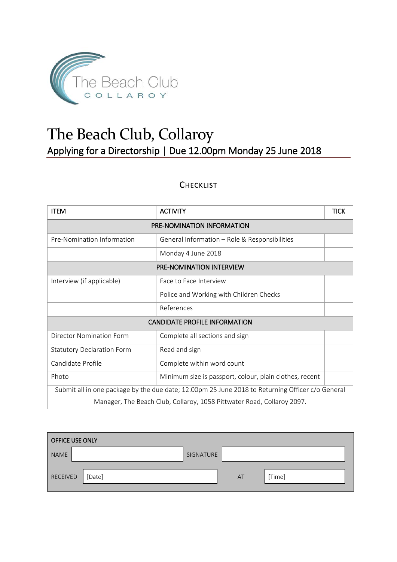

# The Beach Club, Collaroy Applying for a Directorship | Due 12.00pm Monday 25 June 2018

#### **CHECKLIST**

| <b>ITEM</b>                                                                                      | <b>ACTIVITY</b>                               |  |  |  |
|--------------------------------------------------------------------------------------------------|-----------------------------------------------|--|--|--|
| PRE-NOMINATION INFORMATION                                                                       |                                               |  |  |  |
| Pre-Nomination Information                                                                       | General Information - Role & Responsibilities |  |  |  |
|                                                                                                  | Monday 4 June 2018                            |  |  |  |
| <b>PRE-NOMINATION INTERVIEW</b>                                                                  |                                               |  |  |  |
| Interview (if applicable)                                                                        | Face to Face Interview                        |  |  |  |
| Police and Working with Children Checks                                                          |                                               |  |  |  |
|                                                                                                  | References                                    |  |  |  |
| <b>CANDIDATE PROFILE INFORMATION</b>                                                             |                                               |  |  |  |
| Director Nomination Form                                                                         | Complete all sections and sign                |  |  |  |
| Read and sign<br><b>Statutory Declaration Form</b>                                               |                                               |  |  |  |
| Candidate Profile                                                                                | Complete within word count                    |  |  |  |
| Photo<br>Minimum size is passport, colour, plain clothes, recent                                 |                                               |  |  |  |
| Submit all in one package by the due date; 12.00pm 25 June 2018 to Returning Officer c/o General |                                               |  |  |  |
| Manager, The Beach Club, Collaroy, 1058 Pittwater Road, Collaroy 2097.                           |                                               |  |  |  |

| <b>OFFICE USE ONLY</b> |        |           |    |        |
|------------------------|--------|-----------|----|--------|
| <b>NAME</b>            |        | SIGNATURE |    |        |
| RECEIVED               | [Date] |           | AT | [Time] |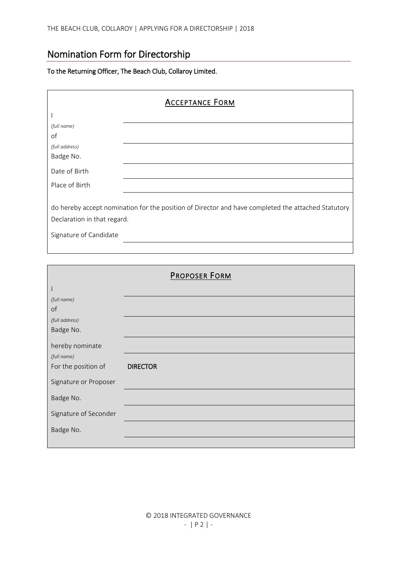## Nomination Form for Directorship

#### To the Returning Officer, The Beach Club, Collaroy Limited.

| <b>ACCEPTANCE FORM</b>                                                                                                                                      |  |  |
|-------------------------------------------------------------------------------------------------------------------------------------------------------------|--|--|
|                                                                                                                                                             |  |  |
| (full name)                                                                                                                                                 |  |  |
| of                                                                                                                                                          |  |  |
| (full address)                                                                                                                                              |  |  |
| Badge No.                                                                                                                                                   |  |  |
| Date of Birth                                                                                                                                               |  |  |
| Place of Birth                                                                                                                                              |  |  |
| do hereby accept nomination for the position of Director and have completed the attached Statutory<br>Declaration in that regard.<br>Signature of Candidate |  |  |
|                                                                                                                                                             |  |  |
|                                                                                                                                                             |  |  |

|                       | <b>PROPOSER FORM</b> |
|-----------------------|----------------------|
|                       |                      |
| (full name)           |                      |
| of                    |                      |
| (full address)        |                      |
| Badge No.             |                      |
| hereby nominate       |                      |
| (full name)           |                      |
| For the position of   | <b>DIRECTOR</b>      |
| Signature or Proposer |                      |
| Badge No.             |                      |
| Signature of Seconder |                      |
| Badge No.             |                      |
|                       |                      |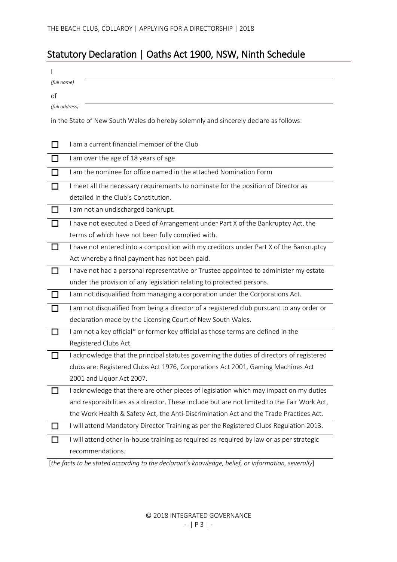## Statutory Declaration | Oaths Act 1900, NSW, Ninth Schedule

| (full name) |                                                                                             |
|-------------|---------------------------------------------------------------------------------------------|
| of          |                                                                                             |
|             | (full address)                                                                              |
|             | in the State of New South Wales do hereby solemnly and sincerely declare as follows:        |
|             |                                                                                             |
|             | I am a current financial member of the Club                                                 |
|             | I am over the age of 18 years of age                                                        |
|             | I am the nominee for office named in the attached Nomination Form                           |
| П           | I meet all the necessary requirements to nominate for the position of Director as           |
|             | detailed in the Club's Constitution.                                                        |
| ΙI          | I am not an undischarged bankrupt.                                                          |
|             | I have not executed a Deed of Arrangement under Part X of the Bankruptcy Act, the           |
|             | terms of which have not been fully complied with.                                           |
|             | I have not entered into a composition with my creditors under Part X of the Bankruptcy      |
|             | Act whereby a final payment has not been paid.                                              |
|             | I have not had a personal representative or Trustee appointed to administer my estate       |
|             | under the provision of any legislation relating to protected persons.                       |
|             | I am not disqualified from managing a corporation under the Corporations Act.               |
|             | I am not disqualified from being a director of a registered club pursuant to any order or   |
|             | declaration made by the Licensing Court of New South Wales.                                 |
| l 1         | I am not a key official* or former key official as those terms are defined in the           |
|             | Registered Clubs Act.                                                                       |
|             | I acknowledge that the principal statutes governing the duties of directors of registered   |
|             | clubs are: Registered Clubs Act 1976, Corporations Act 2001, Gaming Machines Act            |
|             | 2001 and Liquor Act 2007.                                                                   |
|             | I acknowledge that there are other pieces of legislation which may impact on my duties      |
|             | and responsibilities as a director. These include but are not limited to the Fair Work Act, |
|             | the Work Health & Safety Act, the Anti-Discrimination Act and the Trade Practices Act.      |
|             | I will attend Mandatory Director Training as per the Registered Clubs Regulation 2013.      |
|             | I will attend other in-house training as required as required by law or as per strategic    |
|             | recommendations.                                                                            |

[*the facts to be stated according to the declarant's knowledge, belief, or information, severally*]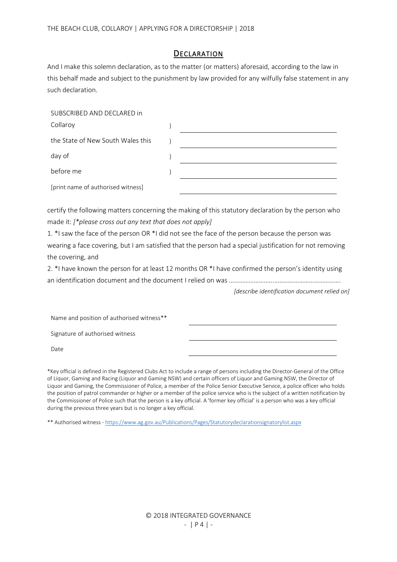#### **DECLARATION**

And I make this solemn declaration, as to the matter (or matters) aforesaid, according to the law in this behalf made and subject to the punishment by law provided for any wilfully false statement in any such declaration.

| SUBSCRIBED AND DECLARED in         |  |
|------------------------------------|--|
| Collaroy                           |  |
| the State of New South Wales this  |  |
| day of                             |  |
| before me                          |  |
| [print name of authorised witness] |  |

certify the following matters concerning the making of this statutory declaration by the person who made it: *[\*please cross out any text that does not apply]*

1. \*I saw the face of the person OR \*I did not see the face of the person because the person was wearing a face covering, but I am satisfied that the person had a special justification for not removing the covering, and

2. \*I have known the person for at least 12 months OR \*I have confirmed the person's identity using an identification document and the document I relied on was ……………………...………………………………….

*[describe identification document relied on]*

Name and position of authorised witness\*\*

Signature of authorised witness

Date

\*Key official is defined in the Registered Clubs Act to include a range of persons including the Director-General of the Office of Liquor, Gaming and Racing (Liquor and Gaming NSW) and certain officers of Liquor and Gaming NSW, the Director of Liquor and Gaming, the Commissioner of Police, a member of the Police Senior Executive Service, a police officer who holds the position of patrol commander or higher or a member of the police service who is the subject of a written notification by the Commissioner of Police such that the person is a key official. A 'former key official' is a person who was a key official during the previous three years but is no longer a key official.

\*\* Authorised witness - <https://www.ag.gov.au/Publications/Pages/Statutorydeclarationsignatorylist.aspx>